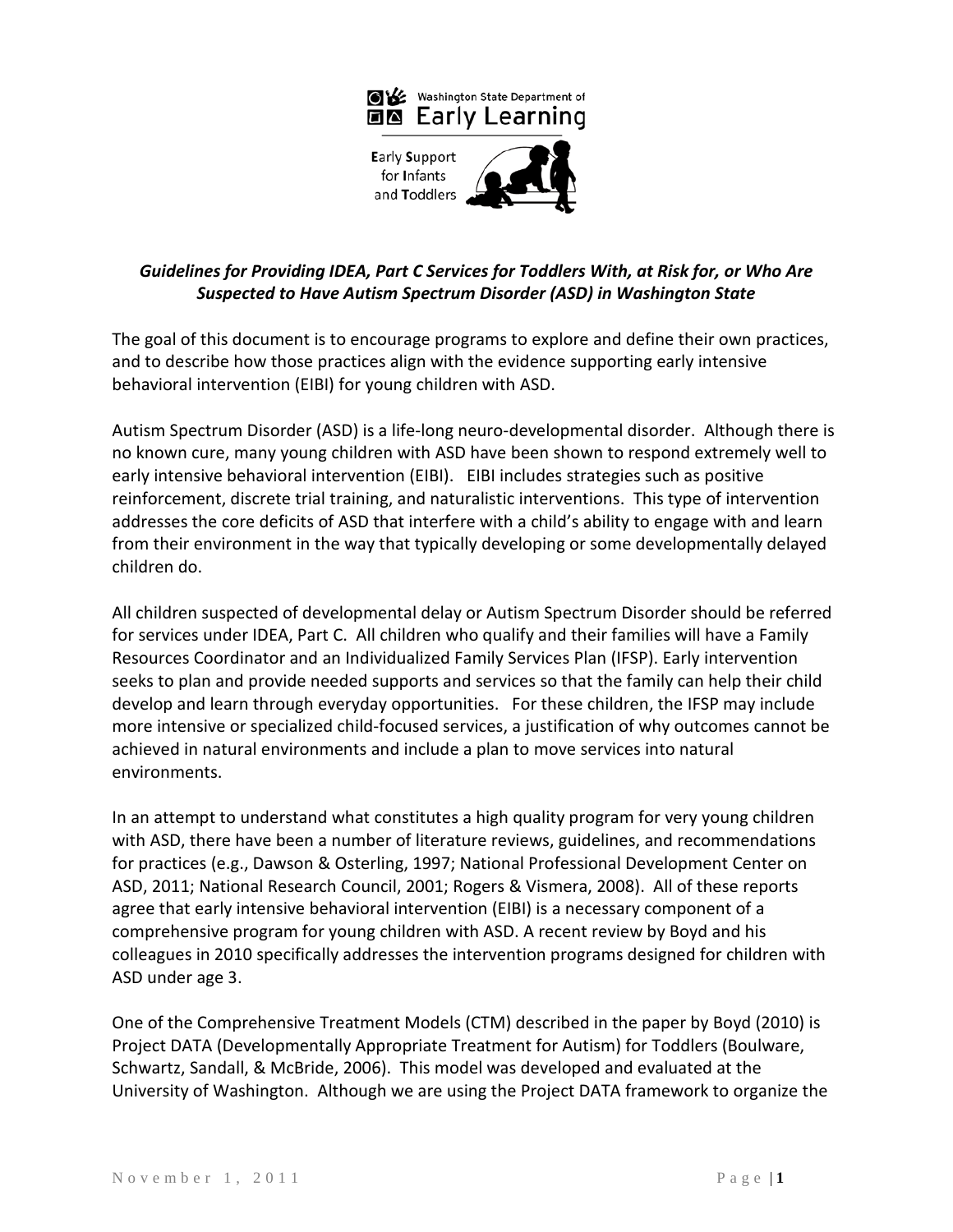

# *Guidelines for Providing IDEA, Part C Services for Toddlers With, at Risk for, or Who Are Suspected to Have Autism Spectrum Disorder (ASD) in Washington State*

The goal of this document is to encourage programs to explore and define their own practices, and to describe how those practices align with the evidence supporting early intensive behavioral intervention (EIBI) for young children with ASD.

Autism Spectrum Disorder (ASD) is a life-long neuro-developmental disorder. Although there is no known cure, many young children with ASD have been shown to respond extremely well to early intensive behavioral intervention (EIBI). EIBI includes strategies such as positive reinforcement, discrete trial training, and naturalistic interventions. This type of intervention addresses the core deficits of ASD that interfere with a child's ability to engage with and learn from their environment in the way that typically developing or some developmentally delayed children do.

All children suspected of developmental delay or Autism Spectrum Disorder should be referred for services under IDEA, Part C. All children who qualify and their families will have a Family Resources Coordinator and an Individualized Family Services Plan (IFSP). Early intervention seeks to plan and provide needed supports and services so that the family can help their child develop and learn through everyday opportunities. For these children, the IFSP may include more intensive or specialized child-focused services, a justification of why outcomes cannot be achieved in natural environments and include a plan to move services into natural environments.

In an attempt to understand what constitutes a high quality program for very young children with ASD, there have been a number of literature reviews, guidelines, and recommendations for practices (e.g., Dawson & Osterling, 1997; National Professional Development Center on ASD, 2011; National Research Council, 2001; Rogers & Vismera, 2008). All of these reports agree that early intensive behavioral intervention (EIBI) is a necessary component of a comprehensive program for young children with ASD. A recent review by Boyd and his colleagues in 2010 specifically addresses the intervention programs designed for children with ASD under age 3.

One of the Comprehensive Treatment Models (CTM) described in the paper by Boyd (2010) is Project DATA (Developmentally Appropriate Treatment for Autism) for Toddlers (Boulware, Schwartz, Sandall, & McBride, 2006). This model was developed and evaluated at the University of Washington. Although we are using the Project DATA framework to organize the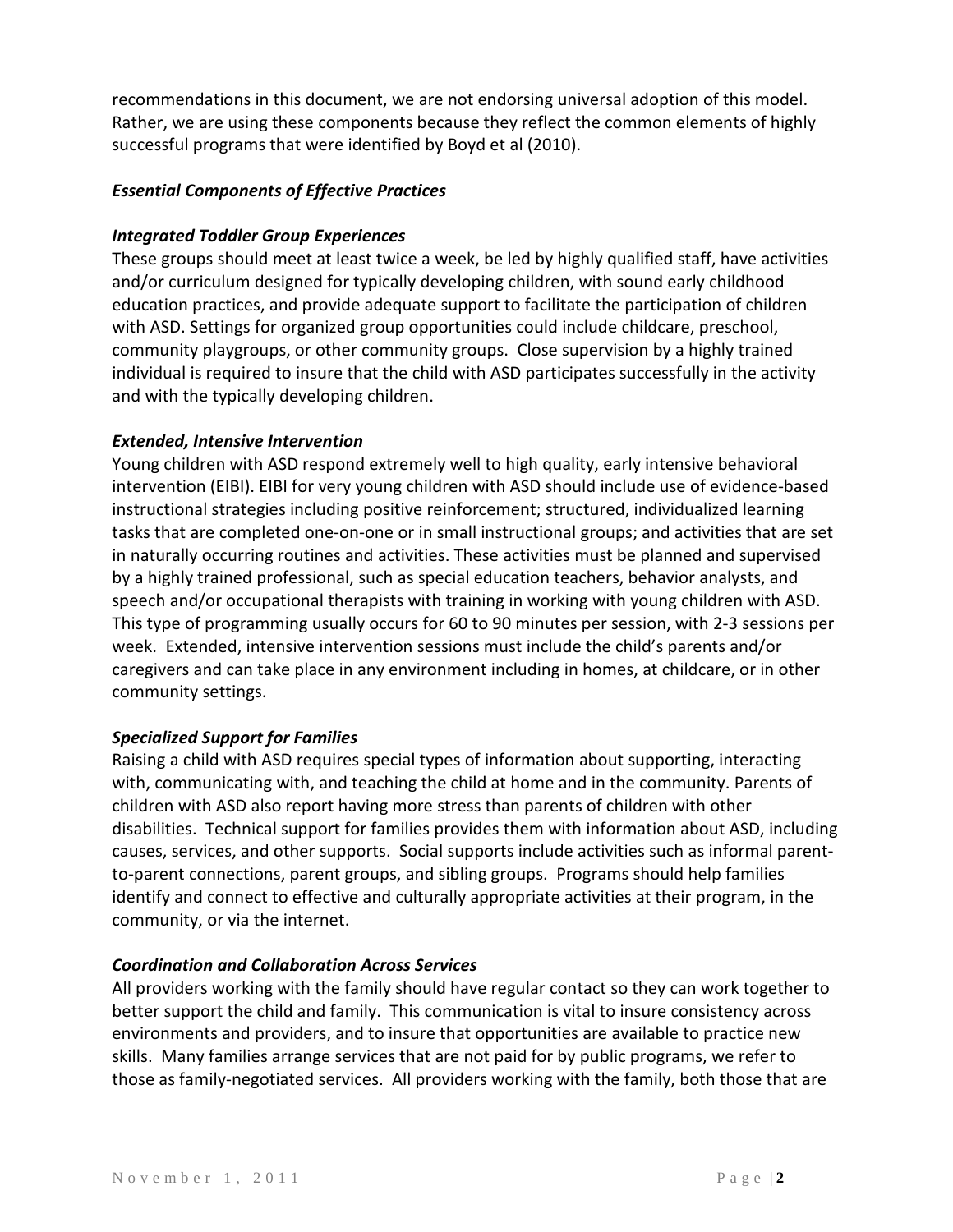recommendations in this document, we are not endorsing universal adoption of this model. Rather, we are using these components because they reflect the common elements of highly successful programs that were identified by Boyd et al (2010).

### *Essential Components of Effective Practices*

# *Integrated Toddler Group Experiences*

These groups should meet at least twice a week, be led by highly qualified staff, have activities and/or curriculum designed for typically developing children, with sound early childhood education practices, and provide adequate support to facilitate the participation of children with ASD. Settings for organized group opportunities could include childcare, preschool, community playgroups, or other community groups. Close supervision by a highly trained individual is required to insure that the child with ASD participates successfully in the activity and with the typically developing children.

# *Extended, Intensive Intervention*

Young children with ASD respond extremely well to high quality, early intensive behavioral intervention (EIBI). EIBI for very young children with ASD should include use of evidence-based instructional strategies including positive reinforcement; structured, individualized learning tasks that are completed one-on-one or in small instructional groups; and activities that are set in naturally occurring routines and activities. These activities must be planned and supervised by a highly trained professional, such as special education teachers, behavior analysts, and speech and/or occupational therapists with training in working with young children with ASD. This type of programming usually occurs for 60 to 90 minutes per session, with 2-3 sessions per week. Extended, intensive intervention sessions must include the child's parents and/or caregivers and can take place in any environment including in homes, at childcare, or in other community settings.

# *Specialized Support for Families*

Raising a child with ASD requires special types of information about supporting, interacting with, communicating with, and teaching the child at home and in the community. Parents of children with ASD also report having more stress than parents of children with other disabilities. Technical support for families provides them with information about ASD, including causes, services, and other supports. Social supports include activities such as informal parentto-parent connections, parent groups, and sibling groups. Programs should help families identify and connect to effective and culturally appropriate activities at their program, in the community, or via the internet.

#### *Coordination and Collaboration Across Services*

All providers working with the family should have regular contact so they can work together to better support the child and family. This communication is vital to insure consistency across environments and providers, and to insure that opportunities are available to practice new skills. Many families arrange services that are not paid for by public programs, we refer to those as family-negotiated services. All providers working with the family, both those that are